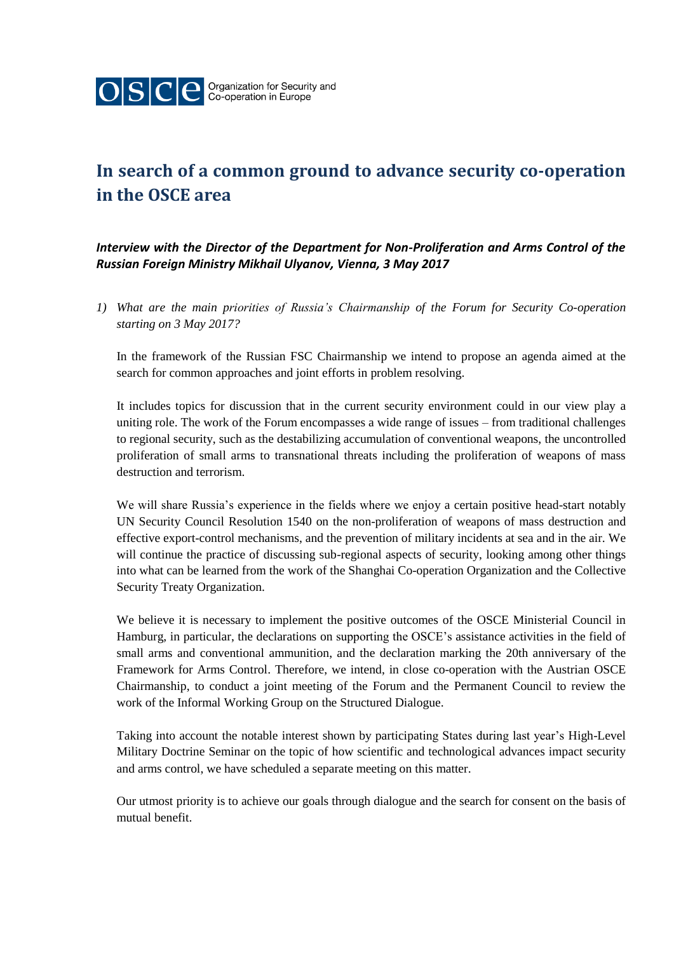

## **In search of a common ground to advance security co-operation in the OSCE area**

*Interview with the Director of the Department for Non-Proliferation and Arms Control of the Russian Foreign Ministry Mikhail Ulyanov, Vienna, 3 May 2017*

*1) What are the main priorities of Russia's Chairmanship of the Forum for Security Co-operation starting on 3 May 2017?*

In the framework of the Russian FSC Chairmanship we intend to propose an agenda aimed at the search for common approaches and joint efforts in problem resolving.

It includes topics for discussion that in the current security environment could in our view play a uniting role. The work of the Forum encompasses a wide range of issues – from traditional challenges to regional security, such as the destabilizing accumulation of conventional weapons, the uncontrolled proliferation of small arms to transnational threats including the proliferation of weapons of mass destruction and terrorism.

We will share Russia's experience in the fields where we enjoy a certain positive head-start notably UN Security Council Resolution 1540 on the non-proliferation of weapons of mass destruction and effective export-control mechanisms, and the prevention of military incidents at sea and in the air. We will continue the practice of discussing sub-regional aspects of security, looking among other things into what can be learned from the work of the Shanghai Co-operation Organization and the Collective Security Treaty Organization.

We believe it is necessary to implement the positive outcomes of the OSCE Ministerial Council in Hamburg, in particular, the declarations on supporting the OSCE's assistance activities in the field of small arms and conventional ammunition, and the declaration marking the 20th anniversary of the Framework for Arms Control. Therefore, we intend, in close co-operation with the Austrian OSCE Chairmanship, to conduct a joint meeting of the Forum and the Permanent Council to review the work of the Informal Working Group on the Structured Dialogue.

Taking into account the notable interest shown by participating States during last year's High-Level Military Doctrine Seminar on the topic of how scientific and technological advances impact security and arms control, we have scheduled a separate meeting on this matter.

Our utmost priority is to achieve our goals through dialogue and the search for consent on the basis of mutual benefit.